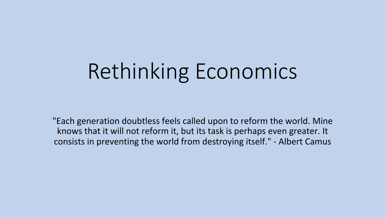# Rethinking Economics

"Each generation doubtless feels called upon to reform the world. Mine knows that it will not reform it, but its task is perhaps even greater. It consists in preventing the world from destroying itself." - Albert Camus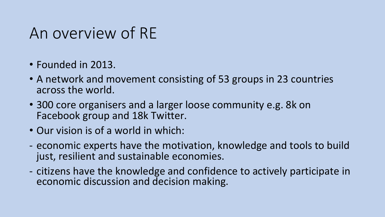# An overview of RE

- Founded in 2013.
- A network and movement consisting of 53 groups in 23 countries across the world.
- 300 core organisers and a larger loose community e.g. 8k on Facebook group and 18k Twitter.
- Our vision is of a world in which:
- economic experts have the motivation, knowledge and tools to build just, resilient and sustainable economies.
- citizens have the knowledge and confidence to actively participate in economic discussion and decision making.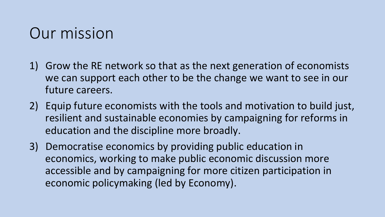# Our mission

- 1) Grow the RE network so that as the next generation of economists we can support each other to be the change we want to see in our future careers.
- 2) Equip future economists with the tools and motivation to build just, resilient and sustainable economies by campaigning for reforms in education and the discipline more broadly.
- 3) Democratise economics by providing public education in economics, working to make public economic discussion more accessible and by campaigning for more citizen participation in economic policymaking (led by Economy).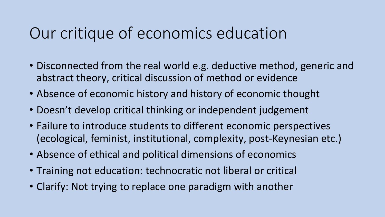# Our critique of economics education

- Disconnected from the real world e.g. deductive method, generic and abstract theory, critical discussion of method or evidence
- Absence of economic history and history of economic thought
- Doesn't develop critical thinking or independent judgement
- Failure to introduce students to different economic perspectives (ecological, feminist, institutional, complexity, post-Keynesian etc.)
- Absence of ethical and political dimensions of economics
- Training not education: technocratic not liberal or critical
- Clarify: Not trying to replace one paradigm with another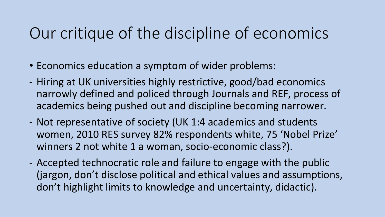# Our critique of the discipline of economics

- Economics education a symptom of wider problems:
- Hiring at UK universities highly restrictive, good/bad economics narrowly defined and policed through Journals and REF, process of academics being pushed out and discipline becoming narrower.
- Not representative of society (UK 1:4 academics and students women, 2010 RES survey 82% respondents white, 75 'Nobel Prize' winners 2 not white 1 a woman, socio-economic class?).
- Accepted technocratic role and failure to engage with the public (jargon, don't disclose political and ethical values and assumptions, don't highlight limits to knowledge and uncertainty, didactic).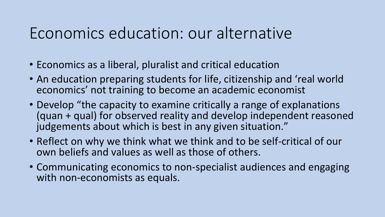### Economics education: our alternative

- Economics as a liberal, pluralist and critical education
- An education preparing students for life, citizenship and 'real world economics' not training to become an academic economist
- Develop "the capacity to examine critically a range of explanations (quan + qual) for observed reality and develop independent reasoned judgements about which is best in any given situation."
- Reflect on why we think what we think and to be self-critical of our own beliefs and values as well as those of others.
- Communicating economics to non-specialist audiences and engaging with non-economists as equals.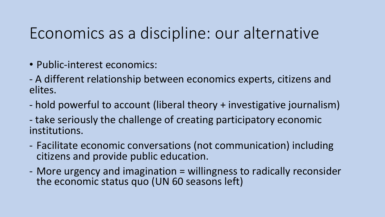# Economics as a discipline: our alternative

- Public-interest economics:
- A different relationship between economics experts, citizens and elites.
- hold powerful to account (liberal theory + investigative journalism)
- take seriously the challenge of creating participatory economic institutions.
- Facilitate economic conversations (not communication) including citizens and provide public education.
- More urgency and imagination = willingness to radically reconsider the economic status quo (UN 60 seasons left)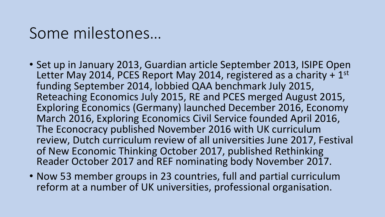#### Some milestones…

- Set up in January 2013, Guardian article September 2013, ISIPE Open Letter May 2014, PCES Report May 2014, registered as a charity  $+1^\text{st}$ funding September 2014, lobbied QAA benchmark July 2015, Reteaching Economics July 2015, RE and PCES merged August 2015, Exploring Economics (Germany) launched December 2016, Economy March 2016, Exploring Economics Civil Service founded April 2016, The Econocracy published November 2016 with UK curriculum review, Dutch curriculum review of all universities June 2017, Festival of New Economic Thinking October 2017, published Rethinking Reader October 2017 and REF nominating body November 2017.
- Now 53 member groups in 23 countries, full and partial curriculum reform at a number of UK universities, professional organisation.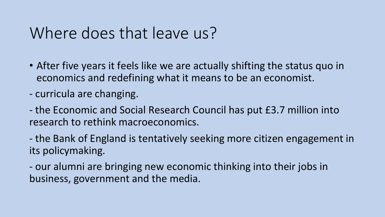# Where does that leave us?

- After five years it feels like we are actually shifting the status quo in economics and redefining what it means to be an economist.
- curricula are changing.
- the Economic and Social Research Council has put £3.7 million into research to rethink macroeconomics.
- the Bank of England is tentatively seeking more citizen engagement in its policymaking.
- our alumni are bringing new economic thinking into their jobs in business, government and the media.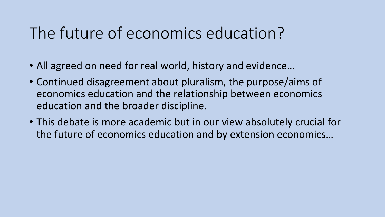# The future of economics education?

- All agreed on need for real world, history and evidence...
- Continued disagreement about pluralism, the purpose/aims of economics education and the relationship between economics education and the broader discipline.
- This debate is more academic but in our view absolutely crucial for the future of economics education and by extension economics...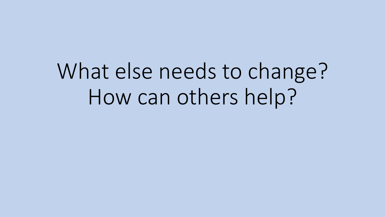What else needs to change? How can others help?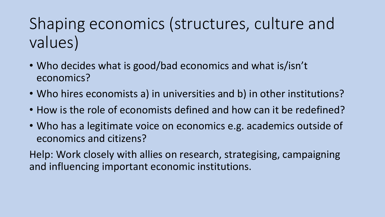# Shaping economics (structures, culture and values)

- Who decides what is good/bad economics and what is/isn't economics?
- Who hires economists a) in universities and b) in other institutions?
- How is the role of economists defined and how can it be redefined?
- Who has a legitimate voice on economics e.g. academics outside of economics and citizens?

Help: Work closely with allies on research, strategising, campaigning and influencing important economic institutions.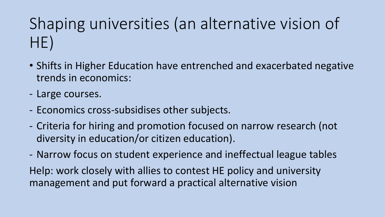# Shaping universities (an alternative vision of HE)

- Shifts in Higher Education have entrenched and exacerbated negative trends in economics:
- Large courses.
- Economics cross-subsidises other subjects.
- Criteria for hiring and promotion focused on narrow research (not diversity in education/or citizen education).
- Narrow focus on student experience and ineffectual league tables Help: work closely with allies to contest HE policy and university management and put forward a practical alternative vision